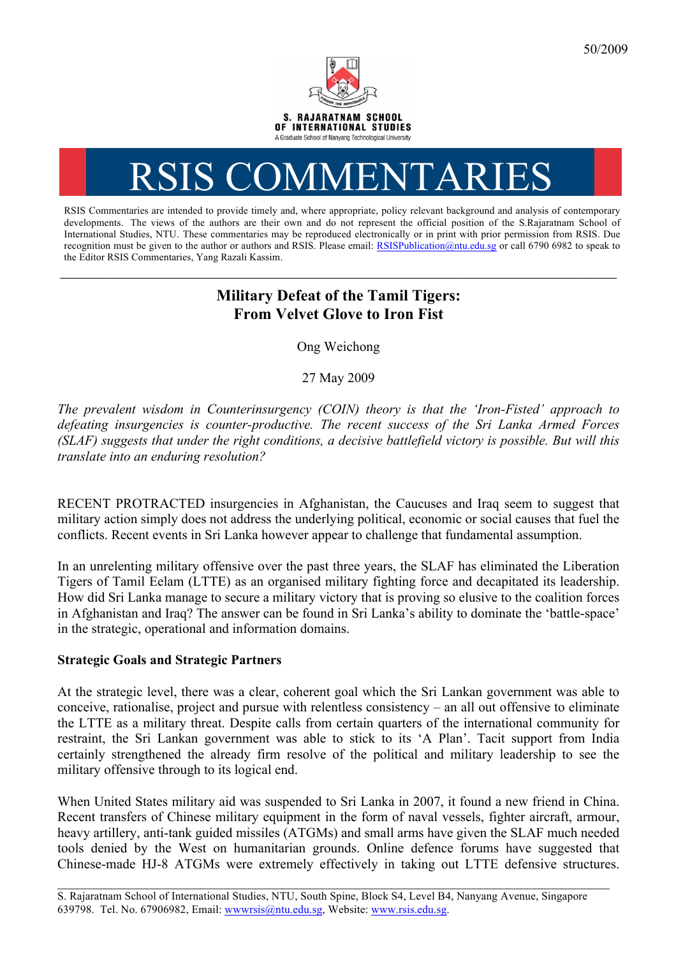

# RSIS COMMENTARIES

RSIS Commentaries are intended to provide timely and, where appropriate, policy relevant background and analysis of contemporary developments. The views of the authors are their own and do not represent the official position of the S.Rajaratnam School of International Studies, NTU. These commentaries may be reproduced electronically or in print with prior permission from RSIS. Due recognition must be given to the author or authors and RSIS. Please email: RSISPublication@ntu.edu.sg or call 6790 6982 to speak to the Editor RSIS Commentaries, Yang Razali Kassim.

# **Military Defeat of the Tamil Tigers: From Velvet Glove to Iron Fist**

Ong Weichong

27 May 2009

*The prevalent wisdom in Counterinsurgency (COIN) theory is that the 'Iron-Fisted' approach to defeating insurgencies is counter-productive. The recent success of the Sri Lanka Armed Forces (SLAF) suggests that under the right conditions, a decisive battlefield victory is possible. But will this translate into an enduring resolution?*

RECENT PROTRACTED insurgencies in Afghanistan, the Caucuses and Iraq seem to suggest that military action simply does not address the underlying political, economic or social causes that fuel the conflicts. Recent events in Sri Lanka however appear to challenge that fundamental assumption.

In an unrelenting military offensive over the past three years, the SLAF has eliminated the Liberation Tigers of Tamil Eelam (LTTE) as an organised military fighting force and decapitated its leadership. How did Sri Lanka manage to secure a military victory that is proving so elusive to the coalition forces in Afghanistan and Iraq? The answer can be found in Sri Lanka's ability to dominate the 'battle-space' in the strategic, operational and information domains.

## **Strategic Goals and Strategic Partners**

At the strategic level, there was a clear, coherent goal which the Sri Lankan government was able to conceive, rationalise, project and pursue with relentless consistency – an all out offensive to eliminate the LTTE as a military threat. Despite calls from certain quarters of the international community for restraint, the Sri Lankan government was able to stick to its 'A Plan'. Tacit support from India certainly strengthened the already firm resolve of the political and military leadership to see the military offensive through to its logical end.

When United States military aid was suspended to Sri Lanka in 2007, it found a new friend in China. Recent transfers of Chinese military equipment in the form of naval vessels, fighter aircraft, armour, heavy artillery, anti-tank guided missiles (ATGMs) and small arms have given the SLAF much needed tools denied by the West on humanitarian grounds. Online defence forums have suggested that Chinese-made HJ-8 ATGMs were extremely effectively in taking out LTTE defensive structures.

 $\mathcal{L}_\mathcal{L} = \{ \mathcal{L}_\mathcal{L} = \{ \mathcal{L}_\mathcal{L} = \{ \mathcal{L}_\mathcal{L} = \{ \mathcal{L}_\mathcal{L} = \{ \mathcal{L}_\mathcal{L} = \{ \mathcal{L}_\mathcal{L} = \{ \mathcal{L}_\mathcal{L} = \{ \mathcal{L}_\mathcal{L} = \{ \mathcal{L}_\mathcal{L} = \{ \mathcal{L}_\mathcal{L} = \{ \mathcal{L}_\mathcal{L} = \{ \mathcal{L}_\mathcal{L} = \{ \mathcal{L}_\mathcal{L} = \{ \mathcal{L}_\mathcal{$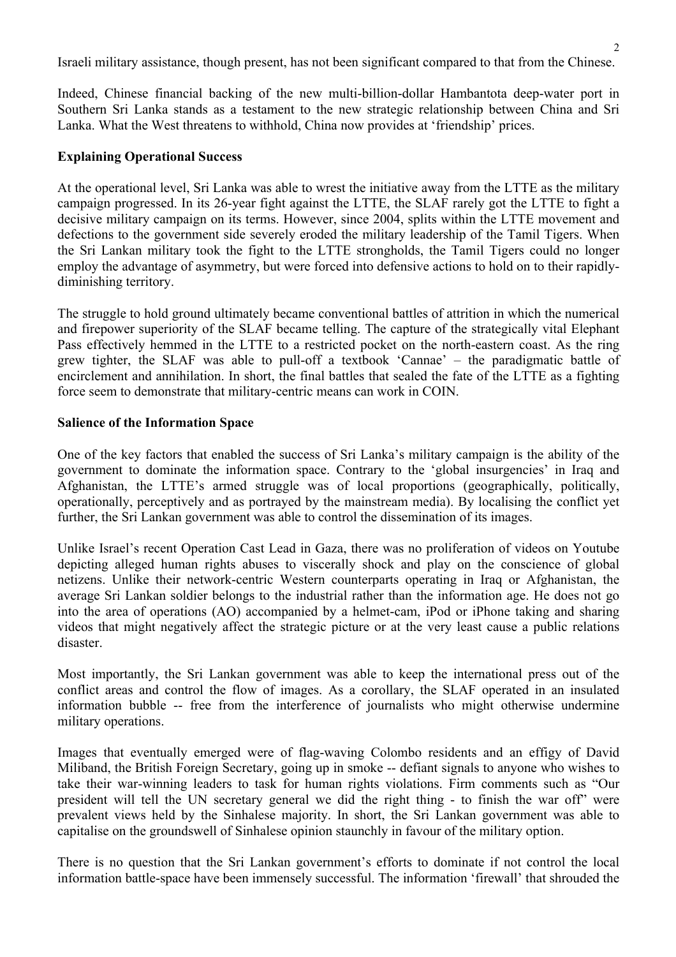Israeli military assistance, though present, has not been significant compared to that from the Chinese.

Indeed, Chinese financial backing of the new multi-billion-dollar Hambantota deep-water port in Southern Sri Lanka stands as a testament to the new strategic relationship between China and Sri Lanka. What the West threatens to withhold, China now provides at 'friendship' prices.

#### **Explaining Operational Success**

At the operational level, Sri Lanka was able to wrest the initiative away from the LTTE as the military campaign progressed. In its 26-year fight against the LTTE, the SLAF rarely got the LTTE to fight a decisive military campaign on its terms. However, since 2004, splits within the LTTE movement and defections to the government side severely eroded the military leadership of the Tamil Tigers. When the Sri Lankan military took the fight to the LTTE strongholds, the Tamil Tigers could no longer employ the advantage of asymmetry, but were forced into defensive actions to hold on to their rapidlydiminishing territory.

The struggle to hold ground ultimately became conventional battles of attrition in which the numerical and firepower superiority of the SLAF became telling. The capture of the strategically vital Elephant Pass effectively hemmed in the LTTE to a restricted pocket on the north-eastern coast. As the ring grew tighter, the SLAF was able to pull-off a textbook 'Cannae' – the paradigmatic battle of encirclement and annihilation. In short, the final battles that sealed the fate of the LTTE as a fighting force seem to demonstrate that military-centric means can work in COIN.

#### **Salience of the Information Space**

One of the key factors that enabled the success of Sri Lanka's military campaign is the ability of the government to dominate the information space. Contrary to the 'global insurgencies' in Iraq and Afghanistan, the LTTE's armed struggle was of local proportions (geographically, politically, operationally, perceptively and as portrayed by the mainstream media). By localising the conflict yet further, the Sri Lankan government was able to control the dissemination of its images.

Unlike Israel's recent Operation Cast Lead in Gaza, there was no proliferation of videos on Youtube depicting alleged human rights abuses to viscerally shock and play on the conscience of global netizens. Unlike their network-centric Western counterparts operating in Iraq or Afghanistan, the average Sri Lankan soldier belongs to the industrial rather than the information age. He does not go into the area of operations (AO) accompanied by a helmet-cam, iPod or iPhone taking and sharing videos that might negatively affect the strategic picture or at the very least cause a public relations disaster.

Most importantly, the Sri Lankan government was able to keep the international press out of the conflict areas and control the flow of images. As a corollary, the SLAF operated in an insulated information bubble -- free from the interference of journalists who might otherwise undermine military operations.

Images that eventually emerged were of flag-waving Colombo residents and an effigy of David Miliband, the British Foreign Secretary, going up in smoke -- defiant signals to anyone who wishes to take their war-winning leaders to task for human rights violations. Firm comments such as "Our president will tell the UN secretary general we did the right thing - to finish the war off" were prevalent views held by the Sinhalese majority. In short, the Sri Lankan government was able to capitalise on the groundswell of Sinhalese opinion staunchly in favour of the military option.

There is no question that the Sri Lankan government's efforts to dominate if not control the local information battle-space have been immensely successful. The information 'firewall' that shrouded the